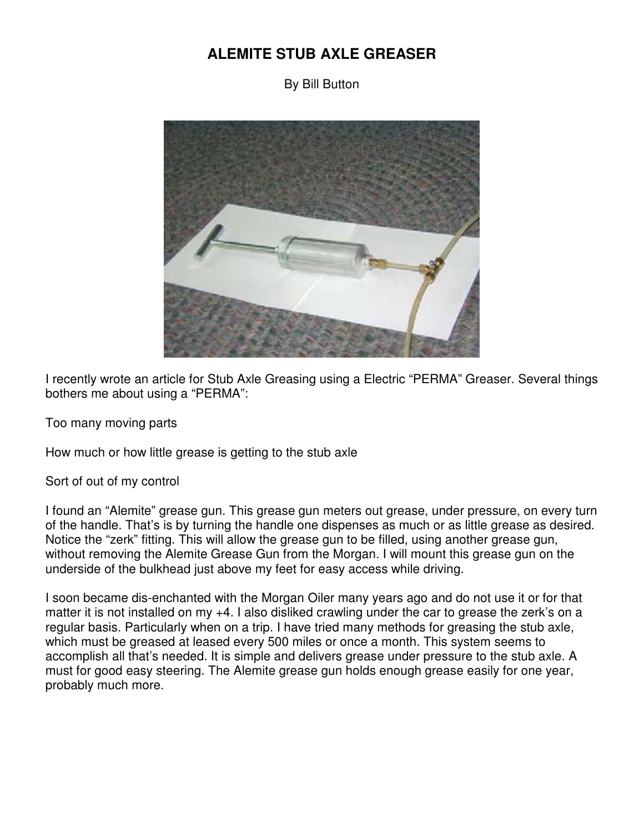## **ALEMITE STUB AXLE GREASER**

By Bill Button



I recently wrote an article for Stub Axle Greasing using a Electric "PERMA" Greaser. Several things bothers me about using a "PERMA":

Too many moving parts

How much or how little grease is getting to the stub axle

Sort of out of my control

I found an "Alemite" grease gun. This grease gun meters out grease, under pressure, on every turn of the handle. That's is by turning the handle one dispenses as much or as little grease as desired. Notice the "zerk" fitting. This will allow the grease gun to be filled, using another grease gun, without removing the Alemite Grease Gun from the Morgan. I will mount this grease gun on the underside of the bulkhead just above my feet for easy access while driving.

I soon became dis-enchanted with the Morgan Oiler many years ago and do not use it or for that matter it is not installed on my +4. I also disliked crawling under the car to grease the zerk's on a regular basis. Particularly when on a trip. I have tried many methods for greasing the stub axle, which must be greased at leased every 500 miles or once a month. This system seems to accomplish all that's needed. It is simple and delivers grease under pressure to the stub axle. A must for good easy steering. The Alemite grease gun holds enough grease easily for one year, probably much more.